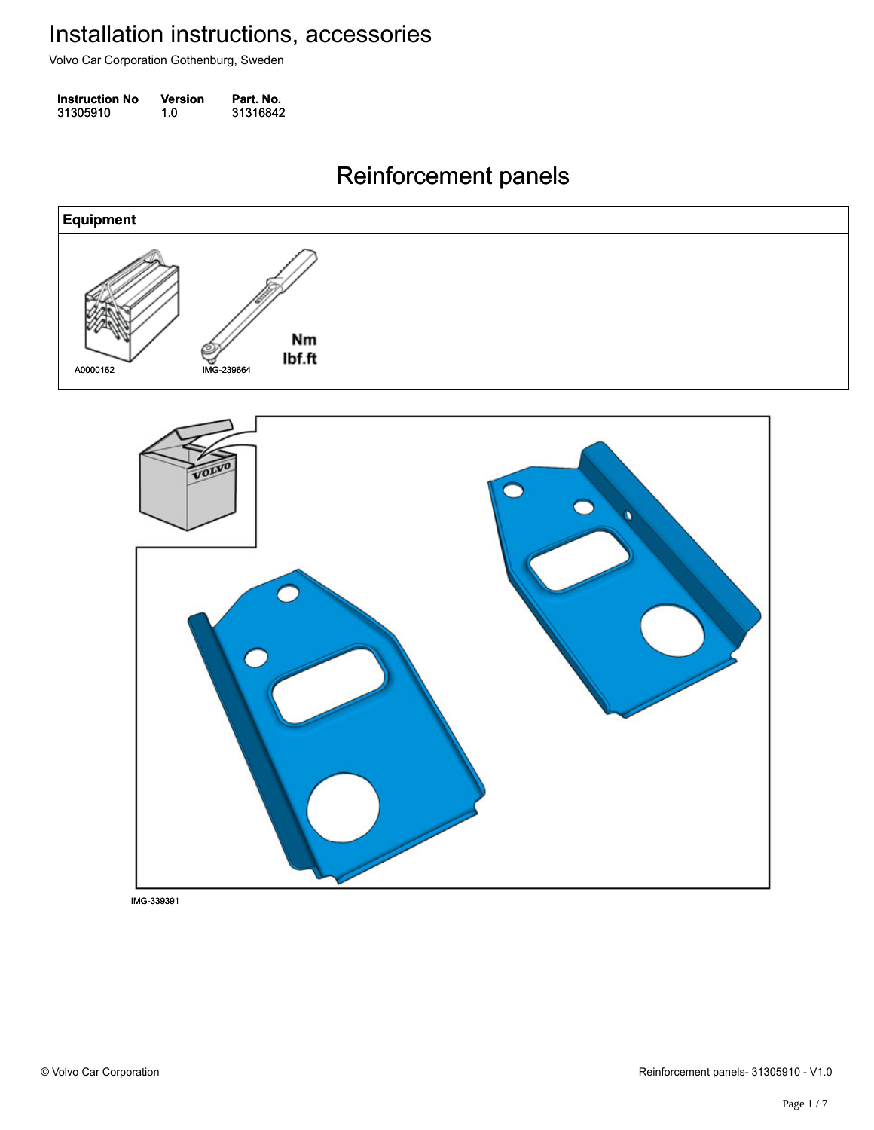Volvo Car Corporation Gothenburg, Sweden

| <b>Instruction No</b> | Version | Part. No. |
|-----------------------|---------|-----------|
| 31305910              | 1.0     | 31316842  |

#### Reinforcement panels Reinforcement panels

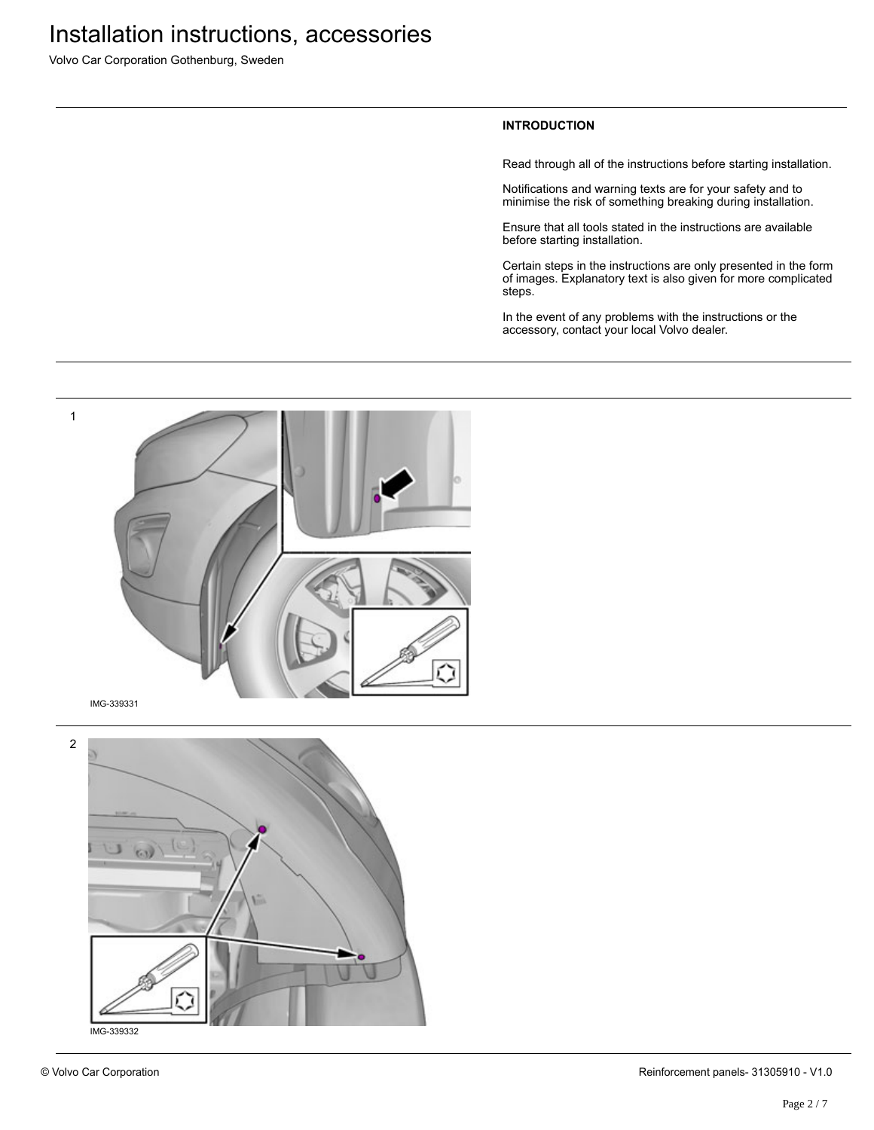Volvo Car Corporation Gothenburg, Sweden

#### **INTRODUCTION**

Read through all of the instructions before starting installation.

Notifications and warning texts are for your safety and to minimise the risk of something breaking during installation.

Ensure that all tools stated in the instructions are available before starting installation.

Certain steps in the instructions are only presented in the form of images. Explanatory text is also given for more complicated steps.

In the event of any problems with the instructions or the accessory, contact your local Volvo dealer.



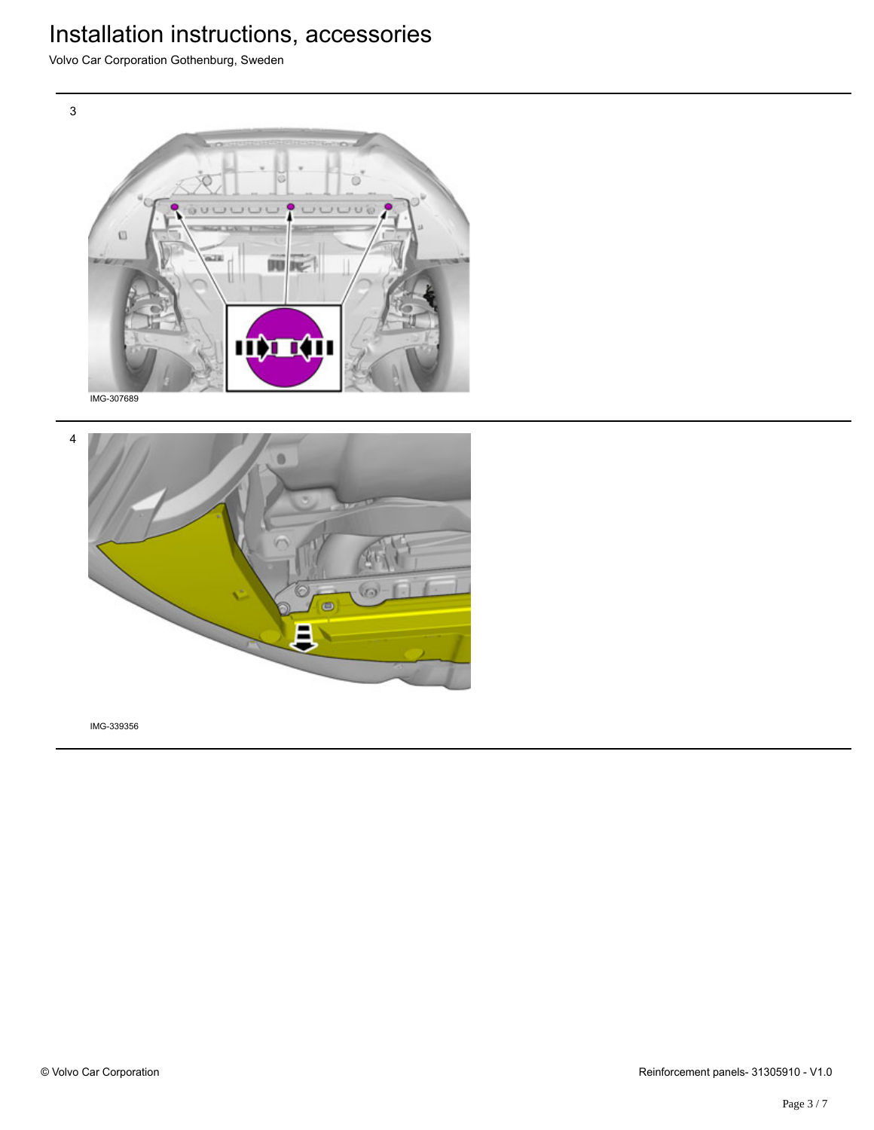Volvo Car Corporation Gothenburg, Sweden



IMG-307689

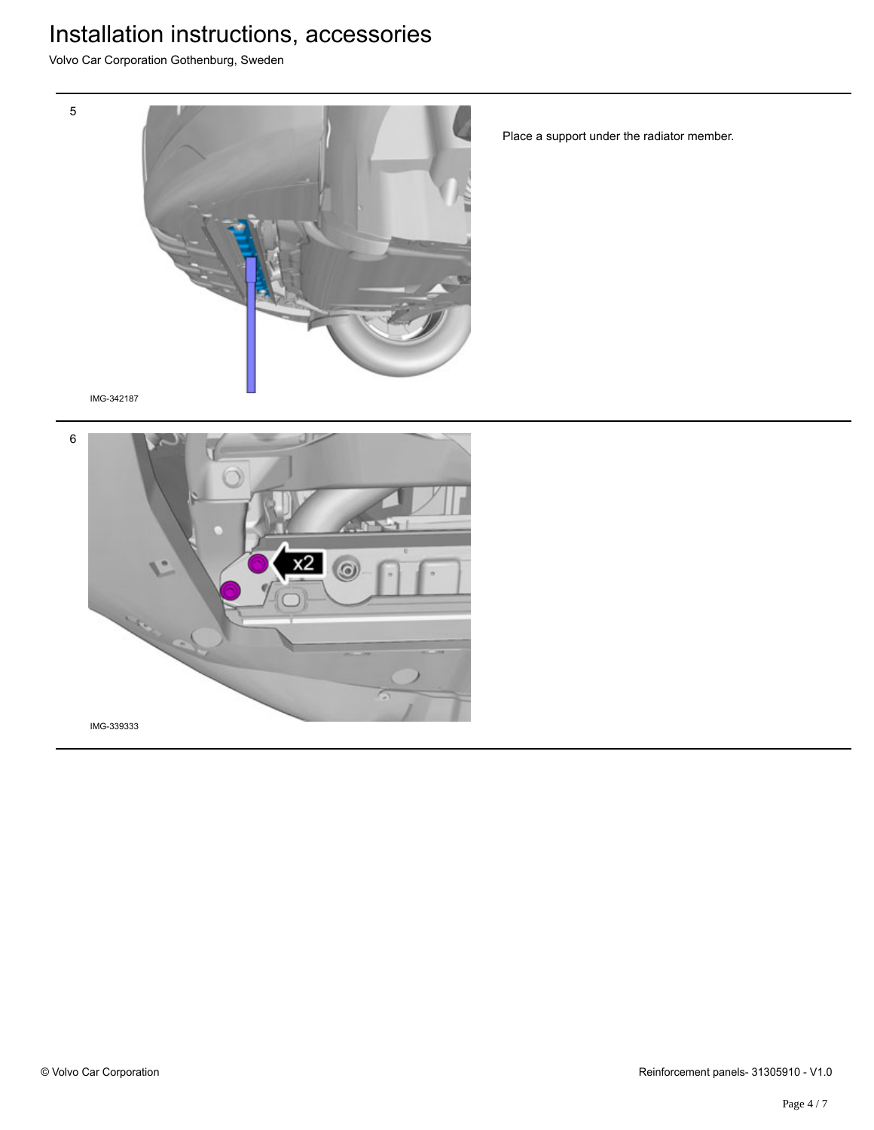Volvo Car Corporation Gothenburg, Sweden



Place a support under the radiator member.

IMG-342187

5

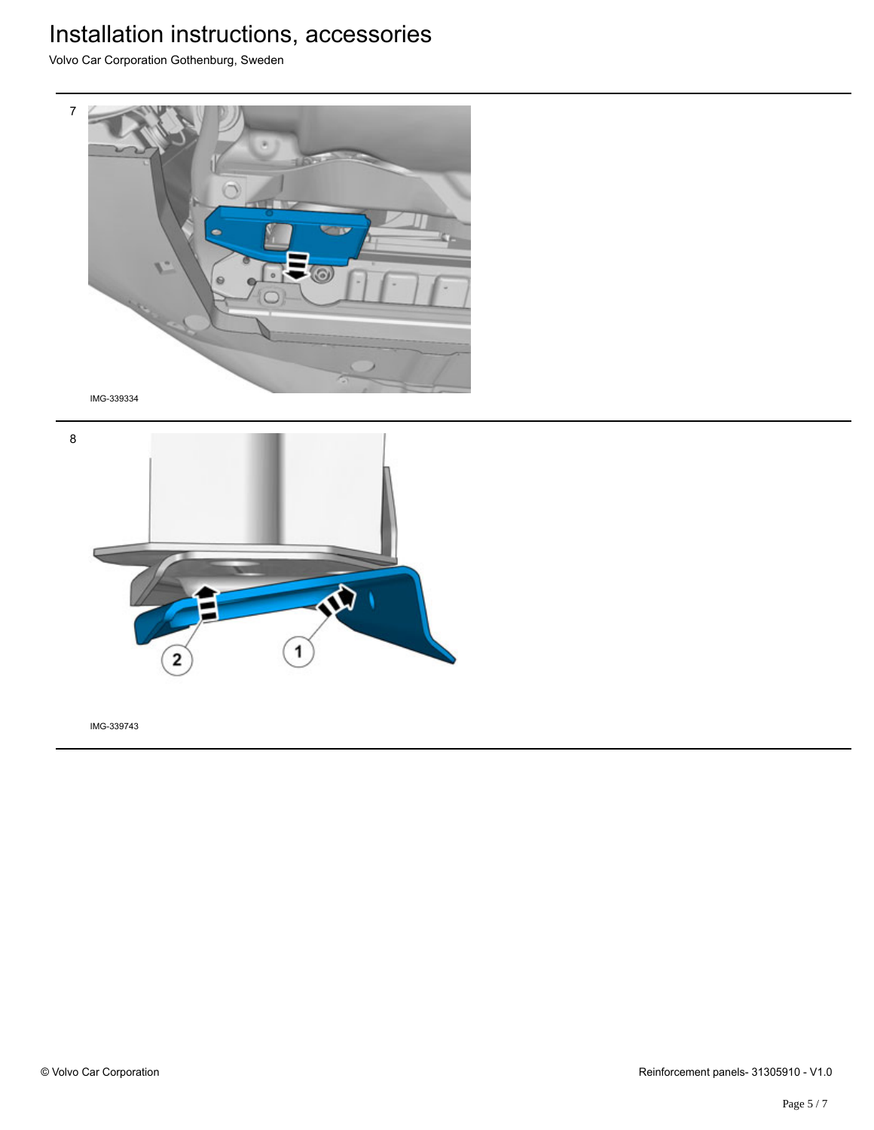Volvo Car Corporation Gothenburg, Sweden



8  $\mathbf{\hat{P}}$ 1 2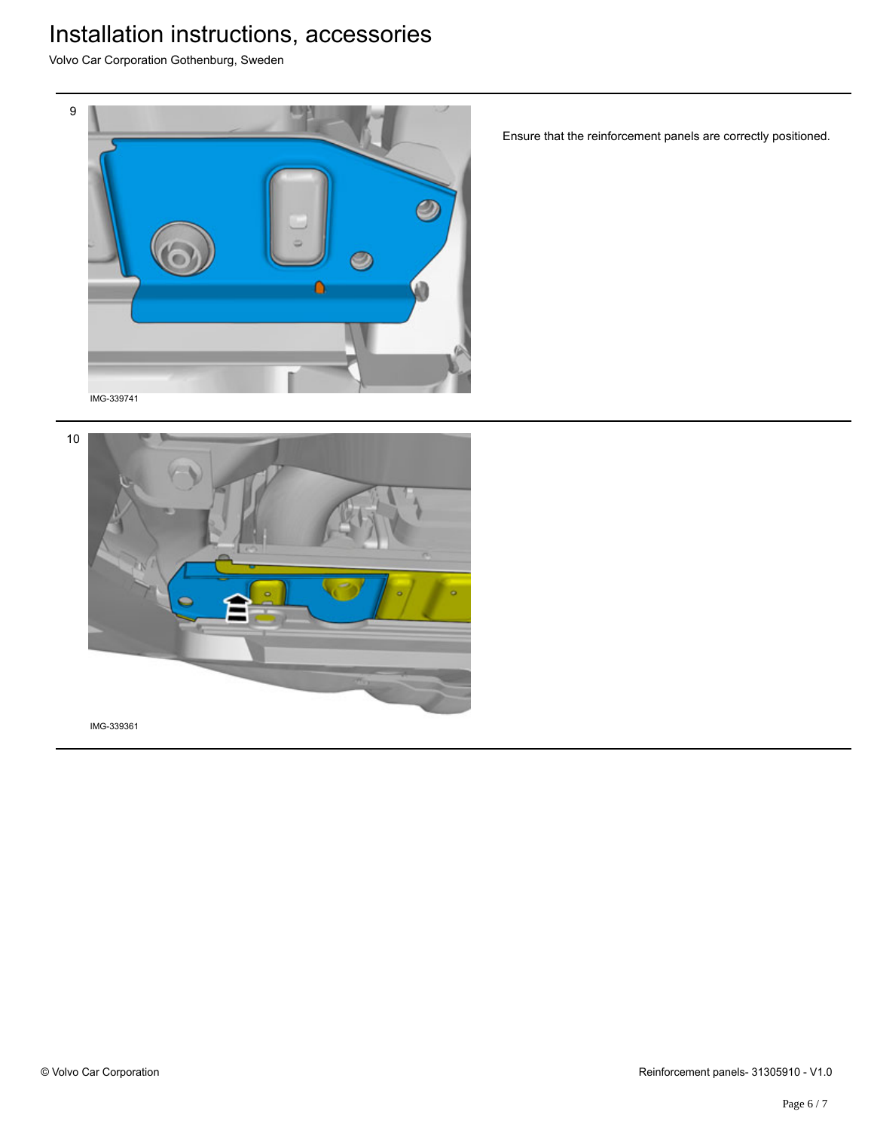Volvo Car Corporation Gothenburg, Sweden



Ensure that the reinforcement panels are correctly positioned.